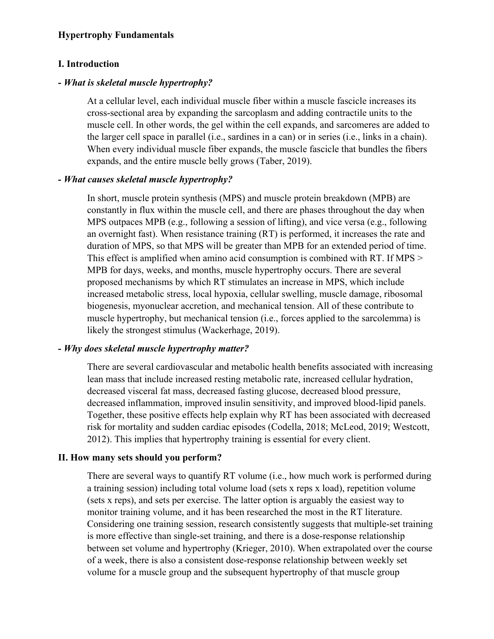### **Hypertrophy Fundamentals**

#### **I. Introduction**

#### **-** *What is skeletal muscle hypertrophy?*

At a cellular level, each individual muscle fiber within a muscle fascicle increases its cross-sectional area by expanding the sarcoplasm and adding contractile units to the muscle cell. In other words, the gel within the cell expands, and sarcomeres are added to the larger cell space in parallel (i.e., sardines in a can) or in series (i.e., links in a chain). When every individual muscle fiber expands, the muscle fascicle that bundles the fibers expands, and the entire muscle belly grows (Taber, 2019).

#### *- What causes skeletal muscle hypertrophy?*

In short, muscle protein synthesis (MPS) and muscle protein breakdown (MPB) are constantly in flux within the muscle cell, and there are phases throughout the day when MPS outpaces MPB (e.g., following a session of lifting), and vice versa (e.g., following an overnight fast). When resistance training (RT) is performed, it increases the rate and duration of MPS, so that MPS will be greater than MPB for an extended period of time. This effect is amplified when amino acid consumption is combined with RT. If MPS > MPB for days, weeks, and months, muscle hypertrophy occurs. There are several proposed mechanisms by which RT stimulates an increase in MPS, which include increased metabolic stress, local hypoxia, cellular swelling, muscle damage, ribosomal biogenesis, myonuclear accretion, and mechanical tension. All of these contribute to muscle hypertrophy, but mechanical tension (i.e., forces applied to the sarcolemma) is likely the strongest stimulus (Wackerhage, 2019).

### *- Why does skeletal muscle hypertrophy matter?*

There are several cardiovascular and metabolic health benefits associated with increasing lean mass that include increased resting metabolic rate, increased cellular hydration, decreased visceral fat mass, decreased fasting glucose, decreased blood pressure, decreased inflammation, improved insulin sensitivity, and improved blood-lipid panels. Together, these positive effects help explain why RT has been associated with decreased risk for mortality and sudden cardiac episodes (Codella, 2018; McLeod, 2019; Westcott, 2012). This implies that hypertrophy training is essential for every client.

#### **II. How many sets should you perform?**

There are several ways to quantify RT volume (i.e., how much work is performed during a training session) including total volume load (sets x reps x load), repetition volume (sets x reps), and sets per exercise. The latter option is arguably the easiest way to monitor training volume, and it has been researched the most in the RT literature. Considering one training session, research consistently suggests that multiple-set training is more effective than single-set training, and there is a dose-response relationship between set volume and hypertrophy (Krieger, 2010). When extrapolated over the course of a week, there is also a consistent dose-response relationship between weekly set volume for a muscle group and the subsequent hypertrophy of that muscle group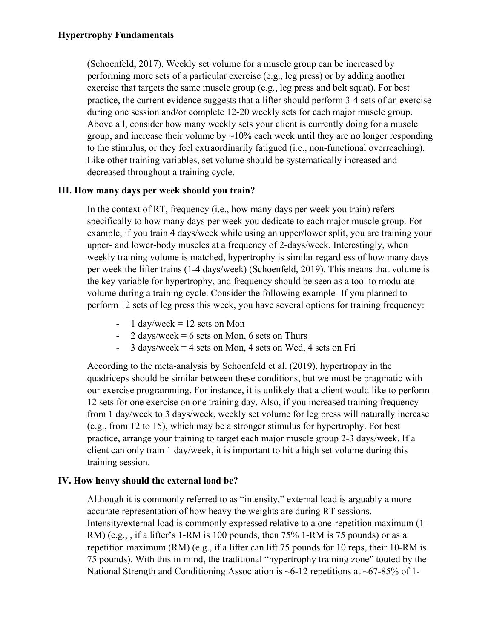(Schoenfeld, 2017). Weekly set volume for a muscle group can be increased by performing more sets of a particular exercise (e.g., leg press) or by adding another exercise that targets the same muscle group (e.g., leg press and belt squat). For best practice, the current evidence suggests that a lifter should perform 3-4 sets of an exercise during one session and/or complete 12-20 weekly sets for each major muscle group. Above all, consider how many weekly sets your client is currently doing for a muscle group, and increase their volume by  $\sim$ 10% each week until they are no longer responding to the stimulus, or they feel extraordinarily fatigued (i.e., non-functional overreaching). Like other training variables, set volume should be systematically increased and decreased throughout a training cycle.

# **III. How many days per week should you train?**

In the context of RT, frequency (i.e., how many days per week you train) refers specifically to how many days per week you dedicate to each major muscle group. For example, if you train 4 days/week while using an upper/lower split, you are training your upper- and lower-body muscles at a frequency of 2-days/week. Interestingly, when weekly training volume is matched, hypertrophy is similar regardless of how many days per week the lifter trains (1-4 days/week) (Schoenfeld, 2019). This means that volume is the key variable for hypertrophy, and frequency should be seen as a tool to modulate volume during a training cycle. Consider the following example- If you planned to perform 12 sets of leg press this week, you have several options for training frequency:

- 1 day/week =  $12$  sets on Mon
- 2 days/week = 6 sets on Mon, 6 sets on Thurs
- $3 \text{ days/week} = 4 \text{ sets on Mon}, 4 \text{ sets on Wed}, 4 \text{ sets on Fri}$

According to the meta-analysis by Schoenfeld et al. (2019), hypertrophy in the quadriceps should be similar between these conditions, but we must be pragmatic with our exercise programming. For instance, it is unlikely that a client would like to perform 12 sets for one exercise on one training day. Also, if you increased training frequency from 1 day/week to 3 days/week, weekly set volume for leg press will naturally increase (e.g., from 12 to 15), which may be a stronger stimulus for hypertrophy. For best practice, arrange your training to target each major muscle group 2-3 days/week. If a client can only train 1 day/week, it is important to hit a high set volume during this training session.

## **IV. How heavy should the external load be?**

Although it is commonly referred to as "intensity," external load is arguably a more accurate representation of how heavy the weights are during RT sessions. Intensity/external load is commonly expressed relative to a one-repetition maximum (1- RM) (e.g., , if a lifter's 1-RM is 100 pounds, then 75% 1-RM is 75 pounds) or as a repetition maximum (RM) (e.g., if a lifter can lift 75 pounds for 10 reps, their 10-RM is 75 pounds). With this in mind, the traditional "hypertrophy training zone" touted by the National Strength and Conditioning Association is  $\sim$  6-12 repetitions at  $\sim$  67-85% of 1-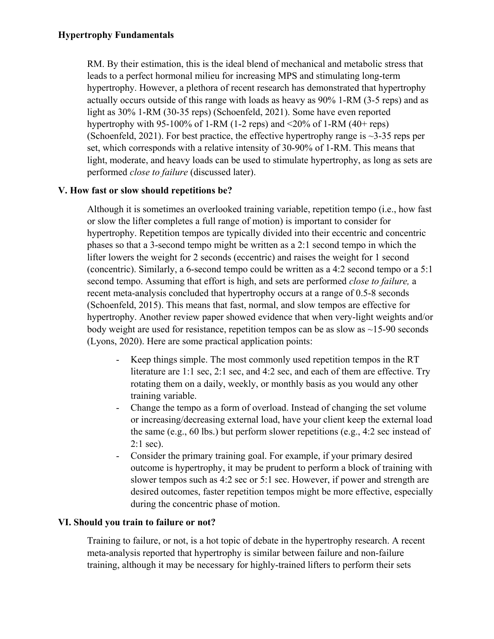RM. By their estimation, this is the ideal blend of mechanical and metabolic stress that leads to a perfect hormonal milieu for increasing MPS and stimulating long-term hypertrophy. However, a plethora of recent research has demonstrated that hypertrophy actually occurs outside of this range with loads as heavy as 90% 1-RM (3-5 reps) and as light as 30% 1-RM (30-35 reps) (Schoenfeld, 2021). Some have even reported hypertrophy with 95-100% of 1-RM (1-2 reps) and  $\leq$ 20% of 1-RM (40+ reps) (Schoenfeld, 2021). For best practice, the effective hypertrophy range is  $\sim$ 3-35 reps per set, which corresponds with a relative intensity of 30-90% of 1-RM. This means that light, moderate, and heavy loads can be used to stimulate hypertrophy, as long as sets are performed *close to failure* (discussed later).

# **V. How fast or slow should repetitions be?**

Although it is sometimes an overlooked training variable, repetition tempo (i.e., how fast or slow the lifter completes a full range of motion) is important to consider for hypertrophy. Repetition tempos are typically divided into their eccentric and concentric phases so that a 3-second tempo might be written as a 2:1 second tempo in which the lifter lowers the weight for 2 seconds (eccentric) and raises the weight for 1 second (concentric). Similarly, a 6-second tempo could be written as a 4:2 second tempo or a 5:1 second tempo. Assuming that effort is high, and sets are performed *close to failure,* a recent meta-analysis concluded that hypertrophy occurs at a range of 0.5-8 seconds (Schoenfeld, 2015). This means that fast, normal, and slow tempos are effective for hypertrophy. Another review paper showed evidence that when very-light weights and/or body weight are used for resistance, repetition tempos can be as slow as  $\sim$ 15-90 seconds (Lyons, 2020). Here are some practical application points:

- Keep things simple. The most commonly used repetition tempos in the RT literature are 1:1 sec, 2:1 sec, and 4:2 sec, and each of them are effective. Try rotating them on a daily, weekly, or monthly basis as you would any other training variable.
- Change the tempo as a form of overload. Instead of changing the set volume or increasing/decreasing external load, have your client keep the external load the same (e.g., 60 lbs.) but perform slower repetitions (e.g., 4:2 sec instead of 2:1 sec).
- Consider the primary training goal. For example, if your primary desired outcome is hypertrophy, it may be prudent to perform a block of training with slower tempos such as 4:2 sec or 5:1 sec. However, if power and strength are desired outcomes, faster repetition tempos might be more effective, especially during the concentric phase of motion.

## **VI. Should you train to failure or not?**

Training to failure, or not, is a hot topic of debate in the hypertrophy research. A recent meta-analysis reported that hypertrophy is similar between failure and non-failure training, although it may be necessary for highly-trained lifters to perform their sets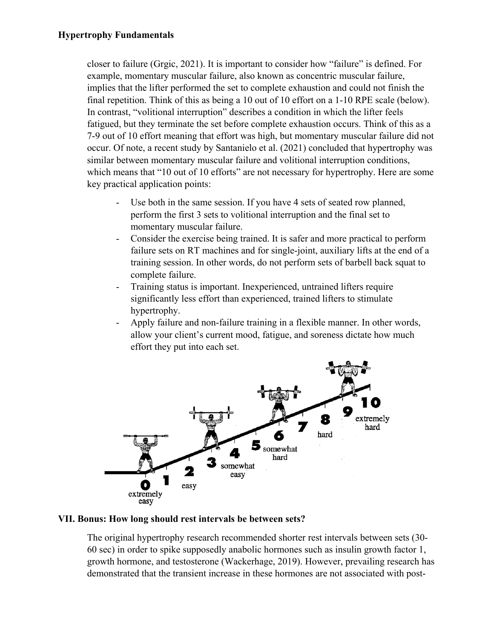closer to failure (Grgic, 2021). It is important to consider how "failure" is defined. For example, momentary muscular failure, also known as concentric muscular failure, implies that the lifter performed the set to complete exhaustion and could not finish the final repetition. Think of this as being a 10 out of 10 effort on a 1-10 RPE scale (below). In contrast, "volitional interruption" describes a condition in which the lifter feels fatigued, but they terminate the set before complete exhaustion occurs. Think of this as a 7-9 out of 10 effort meaning that effort was high, but momentary muscular failure did not occur. Of note, a recent study by Santanielo et al. (2021) concluded that hypertrophy was similar between momentary muscular failure and volitional interruption conditions, which means that "10 out of 10 efforts" are not necessary for hypertrophy. Here are some key practical application points:

- Use both in the same session. If you have 4 sets of seated row planned, perform the first 3 sets to volitional interruption and the final set to momentary muscular failure.
- Consider the exercise being trained. It is safer and more practical to perform failure sets on RT machines and for single-joint, auxiliary lifts at the end of a training session. In other words, do not perform sets of barbell back squat to complete failure.
- Training status is important. Inexperienced, untrained lifters require significantly less effort than experienced, trained lifters to stimulate hypertrophy.
- Apply failure and non-failure training in a flexible manner. In other words, allow your client's current mood, fatigue, and soreness dictate how much effort they put into each set.



## **VII. Bonus: How long should rest intervals be between sets?**

The original hypertrophy research recommended shorter rest intervals between sets (30- 60 sec) in order to spike supposedly anabolic hormones such as insulin growth factor 1, growth hormone, and testosterone (Wackerhage, 2019). However, prevailing research has demonstrated that the transient increase in these hormones are not associated with post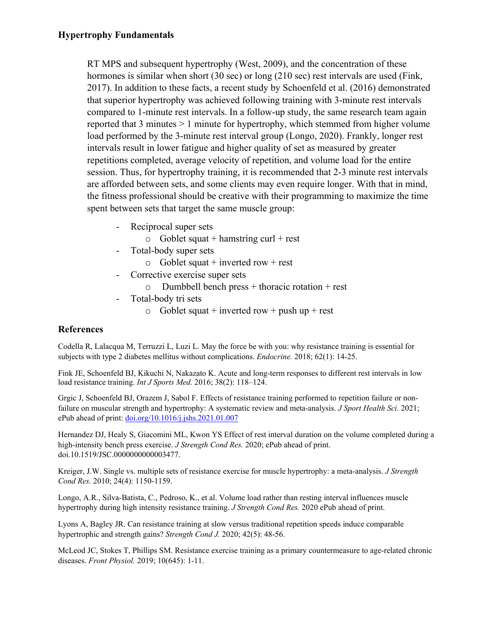RT MPS and subsequent hypertrophy (West, 2009), and the concentration of these hormones is similar when short (30 sec) or long (210 sec) rest intervals are used (Fink, 2017). In addition to these facts, a recent study by Schoenfeld et al. (2016) demonstrated that superior hypertrophy was achieved following training with 3-minute rest intervals compared to 1-minute rest intervals. In a follow-up study, the same research team again reported that 3 minutes > 1 minute for hypertrophy, which stemmed from higher volume load performed by the 3-minute rest interval group (Longo, 2020). Frankly, longer rest intervals result in lower fatigue and higher quality of set as measured by greater repetitions completed, average velocity of repetition, and volume load for the entire session. Thus, for hypertrophy training, it is recommended that 2-3 minute rest intervals are afforded between sets, and some clients may even require longer. With that in mind, the fitness professional should be creative with their programming to maximize the time spent between sets that target the same muscle group:

- Reciprocal super sets
	- $\circ$  Goblet squat + hamstring curl + rest
- Total-body super sets
	- $\circ$  Goblet squat + inverted row + rest
- Corrective exercise super sets
	- $\circ$  Dumbbell bench press + thoracic rotation + rest
- Total-body tri sets
	- $\circ$  Goblet squat + inverted row + push up + rest

## **References**

Codella R, Lalacqua M, Terruzzi L, Luzi L. May the force be with you: why resistance training is essential for subjects with type 2 diabetes mellitus without complications. *Endocrine.* 2018; 62(1): 14-25.

Fink JE, Schoenfeld BJ, Kikuchi N, Nakazato K. Acute and long-term responses to different rest intervals in low load resistance training. *Int J Sports Med.* 2016; 38(2): 118–124.

Grgic J, Schoenfeld BJ, Orazem J, Sabol F. Effects of resistance training performed to repetition failure or nonfailure on muscular strength and hypertrophy: A systematic review and meta-analysis. *J Sport Health Sci*. 2021; ePub ahead of print: [doi.org/10.1016/j.jshs.2021.01.007](about:blank)

Hernandez DJ, Healy S, Giacomini ML, Kwon YS Effect of rest interval duration on the volume completed during a high-intensity bench press exercise. *J Strength Cond Res.* 2020; ePub ahead of print. doi.10.1519/JSC.0000000000003477.

Kreiger, J.W. Single vs. multiple sets of resistance exercise for muscle hypertrophy: a meta-analysis. *J Strength Cond Res.* 2010; 24(4): 1150-1159.

Longo, A.R., Silva-Batista, C., Pedroso, K., et al. Volume load rather than resting interval influences muscle hypertrophy during high intensity resistance training. *J Strength Cond Res.* 2020 ePub ahead of print.

Lyons A, Bagley JR. Can resistance training at slow versus traditional repetition speeds induce comparable hypertrophic and strength gains? *Strength Cond J.* 2020; 42(5): 48-56.

McLeod JC, Stokes T, Phillips SM. Resistance exercise training as a primary countermeasure to age-related chronic diseases. *Front Physiol.* 2019; 10(645): 1-11.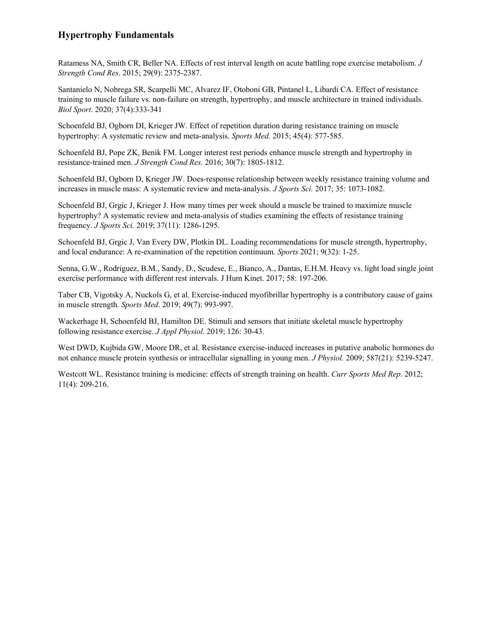## **Hypertrophy Fundamentals**

Ratamess NA, Smith CR, Beller NA. Effects of rest interval length on acute battling rope exercise metabolism. *J Strength Cond Res*. 2015; 29(9): 2375-2387.

Santanielo N, Nobrega SR, Scarpelli MC, Alvarez IF, Otoboni GB, Pintanel L, Libardi CA. Effect of resistance training to muscle failure vs. non-failure on strength, hypertrophy, and muscle architecture in trained individuals. *Biol Sport*. 2020; 37(4):333-341

Schoenfeld BJ, Ogborn DI, Krieger JW. Effect of repetition duration during resistance training on muscle hypertrophy: A systematic review and meta-analysis. *Sports Med.* 2015; 45(4): 577-585.

Schoenfeld BJ, Pope ZK, Benik FM. Longer interest rest periods enhance muscle strength and hypertrophy in resistance-trained men. *J Strength Cond Res.* 2016; 30(7): 1805-1812.

Schoenfeld BJ, Ogborn D, Krieger JW. Does-response relationship between weekly resistance training volume and increases in muscle mass: A systematic review and meta-analysis. *J Sports Sci.* 2017; 35: 1073-1082.

Schoenfeld BJ, Grgic J, Krieger J. How many times per week should a muscle be trained to maximize muscle hypertrophy? A systematic review and meta-analysis of studies examining the effects of resistance training frequency. *J Sports Sci.* 2019; 37(11): 1286-1295.

Schoenfeld BJ, Grgic J, Van Every DW, Plotkin DL. Loading recommendations for muscle strength, hypertrophy, and local endurance: A re-examination of the repetition continuum. *Sports* 2021; 9(32): 1-25.

Senna, G.W., Rodriguez, B.M., Sandy, D., Scudese, E., Bianco, A., Dantas, E.H.M. Heavy vs. light load single joint exercise performance with different rest intervals. J Hum Kinet. 2017; 58: 197-206.

Taber CB, Vigotsky A, Nuckols G, et al. Exercise-induced myofibrillar hypertrophy is a contributory cause of gains in muscle strength. *Sports Med*. 2019; 49(7): 993-997.

Wackerhage H, Schoenfeld BJ, Hamilton DE. Stimuli and sensors that initiate skeletal muscle hypertrophy following resistance exercise. *J Appl Physiol*. 2019; 126: 30-43.

West DWD, Kujbida GW, Moore DR, et al. Resistance exercise-induced increases in putative anabolic hormones do not enhance muscle protein synthesis or intracellular signalling in young men. *J Physiol.* 2009; 587(21): 5239-5247.

Westcott WL. Resistance training is medicine: effects of strength training on health. *Curr Sports Med Rep.* 2012; 11(4): 209-216.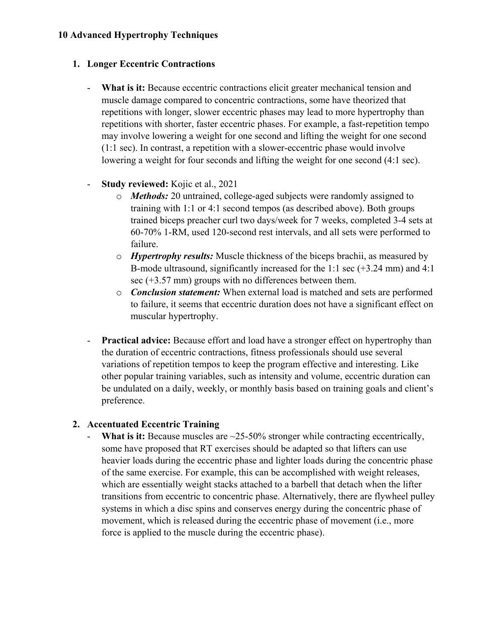## **1. Longer Eccentric Contractions**

- **What is it:** Because eccentric contractions elicit greater mechanical tension and muscle damage compared to concentric contractions, some have theorized that repetitions with longer, slower eccentric phases may lead to more hypertrophy than repetitions with shorter, faster eccentric phases. For example, a fast-repetition tempo may involve lowering a weight for one second and lifting the weight for one second (1:1 sec). In contrast, a repetition with a slower-eccentric phase would involve lowering a weight for four seconds and lifting the weight for one second (4:1 sec).
- **Study reviewed:** Kojic et al., 2021
	- o *Methods:* 20 untrained, college-aged subjects were randomly assigned to training with 1:1 or 4:1 second tempos (as described above). Both groups trained biceps preacher curl two days/week for 7 weeks, completed 3-4 sets at 60-70% 1-RM, used 120-second rest intervals, and all sets were performed to failure.
	- o *Hypertrophy results:* Muscle thickness of the biceps brachii, as measured by B-mode ultrasound, significantly increased for the 1:1 sec (+3.24 mm) and 4:1 sec (+3.57 mm) groups with no differences between them.
	- o *Conclusion statement:* When external load is matched and sets are performed to failure, it seems that eccentric duration does not have a significant effect on muscular hypertrophy.
- **Practical advice:** Because effort and load have a stronger effect on hypertrophy than the duration of eccentric contractions, fitness professionals should use several variations of repetition tempos to keep the program effective and interesting. Like other popular training variables, such as intensity and volume, eccentric duration can be undulated on a daily, weekly, or monthly basis based on training goals and client's preference.

## **2. Accentuated Eccentric Training**

What is it: Because muscles are ~25-50% stronger while contracting eccentrically, some have proposed that RT exercises should be adapted so that lifters can use heavier loads during the eccentric phase and lighter loads during the concentric phase of the same exercise. For example, this can be accomplished with weight releases, which are essentially weight stacks attached to a barbell that detach when the lifter transitions from eccentric to concentric phase. Alternatively, there are flywheel pulley systems in which a disc spins and conserves energy during the concentric phase of movement, which is released during the eccentric phase of movement (i.e., more force is applied to the muscle during the eccentric phase).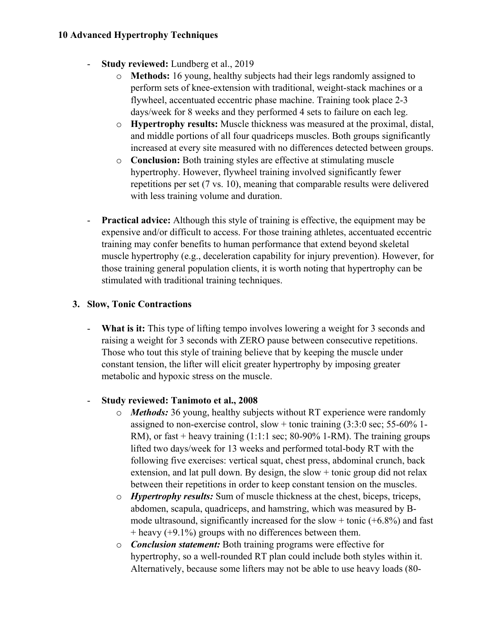- **Study reviewed:** Lundberg et al., 2019
	- o **Methods:** 16 young, healthy subjects had their legs randomly assigned to perform sets of knee-extension with traditional, weight-stack machines or a flywheel, accentuated eccentric phase machine. Training took place 2-3 days/week for 8 weeks and they performed 4 sets to failure on each leg.
	- o **Hypertrophy results:** Muscle thickness was measured at the proximal, distal, and middle portions of all four quadriceps muscles. Both groups significantly increased at every site measured with no differences detected between groups.
	- o **Conclusion:** Both training styles are effective at stimulating muscle hypertrophy. However, flywheel training involved significantly fewer repetitions per set (7 vs. 10), meaning that comparable results were delivered with less training volume and duration.
- **Practical advice:** Although this style of training is effective, the equipment may be expensive and/or difficult to access. For those training athletes, accentuated eccentric training may confer benefits to human performance that extend beyond skeletal muscle hypertrophy (e.g., deceleration capability for injury prevention). However, for those training general population clients, it is worth noting that hypertrophy can be stimulated with traditional training techniques.

### **3. Slow, Tonic Contractions**

- **What is it:** This type of lifting tempo involves lowering a weight for 3 seconds and raising a weight for 3 seconds with ZERO pause between consecutive repetitions. Those who tout this style of training believe that by keeping the muscle under constant tension, the lifter will elicit greater hypertrophy by imposing greater metabolic and hypoxic stress on the muscle.

## - **Study reviewed: Tanimoto et al., 2008**

- o *Methods:* 36 young, healthy subjects without RT experience were randomly assigned to non-exercise control, slow + tonic training (3:3:0 sec; 55-60% 1- RM), or fast + heavy training  $(1:1:1 \text{ sec}; 80-90\% 1-RM)$ . The training groups lifted two days/week for 13 weeks and performed total-body RT with the following five exercises: vertical squat, chest press, abdominal crunch, back extension, and lat pull down. By design, the slow  $+$  tonic group did not relax between their repetitions in order to keep constant tension on the muscles.
- o *Hypertrophy results:* Sum of muscle thickness at the chest, biceps, triceps, abdomen, scapula, quadriceps, and hamstring, which was measured by Bmode ultrasound, significantly increased for the slow + tonic  $(+6.8%)$  and fast  $+$  heavy ( $+9.1\%$ ) groups with no differences between them.
- o *Conclusion statement:* Both training programs were effective for hypertrophy, so a well-rounded RT plan could include both styles within it. Alternatively, because some lifters may not be able to use heavy loads (80-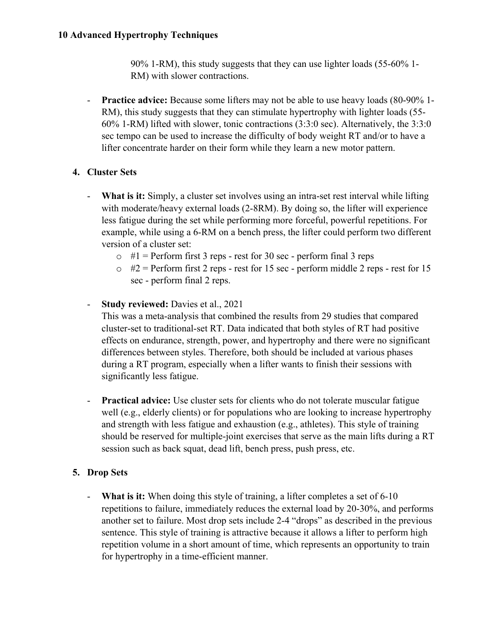90% 1-RM), this study suggests that they can use lighter loads (55-60% 1- RM) with slower contractions.

- **Practice advice:** Because some lifters may not be able to use heavy loads (80-90% 1- RM), this study suggests that they can stimulate hypertrophy with lighter loads (55- 60% 1-RM) lifted with slower, tonic contractions (3:3:0 sec). Alternatively, the 3:3:0 sec tempo can be used to increase the difficulty of body weight RT and/or to have a lifter concentrate harder on their form while they learn a new motor pattern.

# **4. Cluster Sets**

- **What is it:** Simply, a cluster set involves using an intra-set rest interval while lifting with moderate/heavy external loads (2-8RM). By doing so, the lifter will experience less fatigue during the set while performing more forceful, powerful repetitions. For example, while using a 6-RM on a bench press, the lifter could perform two different version of a cluster set:
	- $\circ$  #1 = Perform first 3 reps rest for 30 sec perform final 3 reps
	- $\circ$  #2 = Perform first 2 reps rest for 15 sec perform middle 2 reps rest for 15 sec - perform final 2 reps.
- **Study reviewed:** Davies et al., 2021

This was a meta-analysis that combined the results from 29 studies that compared cluster-set to traditional-set RT. Data indicated that both styles of RT had positive effects on endurance, strength, power, and hypertrophy and there were no significant differences between styles. Therefore, both should be included at various phases during a RT program, especially when a lifter wants to finish their sessions with significantly less fatigue.

- **Practical advice:** Use cluster sets for clients who do not tolerate muscular fatigue well (e.g., elderly clients) or for populations who are looking to increase hypertrophy and strength with less fatigue and exhaustion (e.g., athletes). This style of training should be reserved for multiple-joint exercises that serve as the main lifts during a RT session such as back squat, dead lift, bench press, push press, etc.

# **5. Drop Sets**

- **What is it:** When doing this style of training, a lifter completes a set of 6-10 repetitions to failure, immediately reduces the external load by 20-30%, and performs another set to failure. Most drop sets include 2-4 "drops" as described in the previous sentence. This style of training is attractive because it allows a lifter to perform high repetition volume in a short amount of time, which represents an opportunity to train for hypertrophy in a time-efficient manner.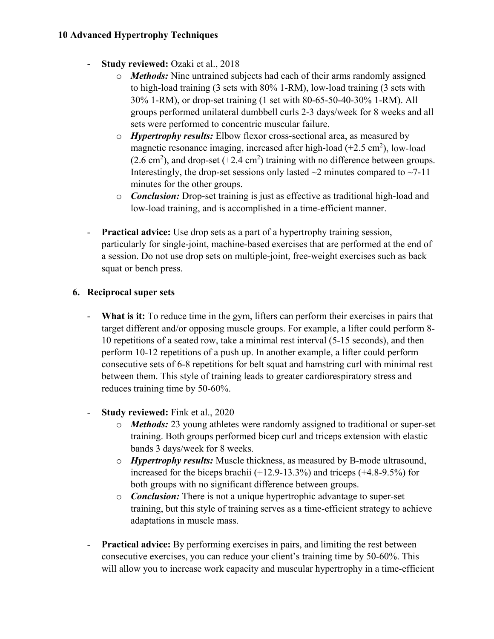- **Study reviewed:** Ozaki et al., 2018
	- o *Methods:* Nine untrained subjects had each of their arms randomly assigned to high-load training (3 sets with 80% 1-RM), low-load training (3 sets with 30% 1-RM), or drop-set training (1 set with 80-65-50-40-30% 1-RM). All groups performed unilateral dumbbell curls 2-3 days/week for 8 weeks and all sets were performed to concentric muscular failure.
	- o *Hypertrophy results:* Elbow flexor cross-sectional area, as measured by magnetic resonance imaging, increased after high-load  $(+2.5 \text{ cm}^2)$ , low-load  $(2.6 \text{ cm}^2)$ , and drop-set  $(+2.4 \text{ cm}^2)$  training with no difference between groups. Interestingly, the drop-set sessions only lasted  $\sim$ 2 minutes compared to  $\sim$ 7-11 minutes for the other groups.
	- o *Conclusion:* Drop-set training is just as effective as traditional high-load and low-load training, and is accomplished in a time-efficient manner.
- **Practical advice:** Use drop sets as a part of a hypertrophy training session, particularly for single-joint, machine-based exercises that are performed at the end of a session. Do not use drop sets on multiple-joint, free-weight exercises such as back squat or bench press.

# **6. Reciprocal super sets**

- **What is it:** To reduce time in the gym, lifters can perform their exercises in pairs that target different and/or opposing muscle groups. For example, a lifter could perform 8- 10 repetitions of a seated row, take a minimal rest interval (5-15 seconds), and then perform 10-12 repetitions of a push up. In another example, a lifter could perform consecutive sets of 6-8 repetitions for belt squat and hamstring curl with minimal rest between them. This style of training leads to greater cardiorespiratory stress and reduces training time by 50-60%.
- **Study reviewed:** Fink et al., 2020
	- o *Methods:* 23 young athletes were randomly assigned to traditional or super-set training. Both groups performed bicep curl and triceps extension with elastic bands 3 days/week for 8 weeks.
	- o *Hypertrophy results:* Muscle thickness, as measured by B-mode ultrasound, increased for the biceps brachii (+12.9-13.3%) and triceps (+4.8-9.5%) for both groups with no significant difference between groups.
	- o *Conclusion:* There is not a unique hypertrophic advantage to super-set training, but this style of training serves as a time-efficient strategy to achieve adaptations in muscle mass.
- **Practical advice:** By performing exercises in pairs, and limiting the rest between consecutive exercises, you can reduce your client's training time by 50-60%. This will allow you to increase work capacity and muscular hypertrophy in a time-efficient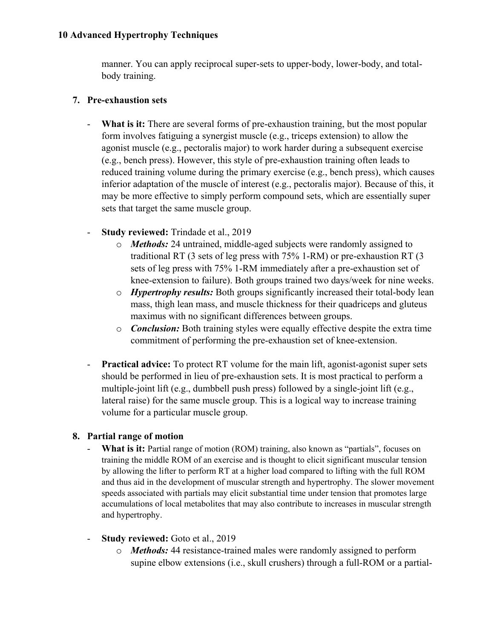manner. You can apply reciprocal super-sets to upper-body, lower-body, and totalbody training.

## **7. Pre-exhaustion sets**

- **What is it:** There are several forms of pre-exhaustion training, but the most popular form involves fatiguing a synergist muscle (e.g., triceps extension) to allow the agonist muscle (e.g., pectoralis major) to work harder during a subsequent exercise (e.g., bench press). However, this style of pre-exhaustion training often leads to reduced training volume during the primary exercise (e.g., bench press), which causes inferior adaptation of the muscle of interest (e.g., pectoralis major). Because of this, it may be more effective to simply perform compound sets, which are essentially super sets that target the same muscle group.
- **Study reviewed:** Trindade et al., 2019
	- o *Methods:* 24 untrained, middle-aged subjects were randomly assigned to traditional RT (3 sets of leg press with 75% 1-RM) or pre-exhaustion RT (3 sets of leg press with 75% 1-RM immediately after a pre-exhaustion set of knee-extension to failure). Both groups trained two days/week for nine weeks.
	- o *Hypertrophy results:* Both groups significantly increased their total-body lean mass, thigh lean mass, and muscle thickness for their quadriceps and gluteus maximus with no significant differences between groups.
	- o *Conclusion:* Both training styles were equally effective despite the extra time commitment of performing the pre-exhaustion set of knee-extension.
- **Practical advice:** To protect RT volume for the main lift, agonist-agonist super sets should be performed in lieu of pre-exhaustion sets. It is most practical to perform a multiple-joint lift (e.g., dumbbell push press) followed by a single-joint lift (e.g., lateral raise) for the same muscle group. This is a logical way to increase training volume for a particular muscle group.

## **8. Partial range of motion**

- What is it: Partial range of motion (ROM) training, also known as "partials", focuses on training the middle ROM of an exercise and is thought to elicit significant muscular tension by allowing the lifter to perform RT at a higher load compared to lifting with the full ROM and thus aid in the development of muscular strength and hypertrophy. The slower movement speeds associated with partials may elicit substantial time under tension that promotes large accumulations of local metabolites that may also contribute to increases in muscular strength and hypertrophy.
- **Study reviewed:** Goto et al., 2019
	- o *Methods:* 44 resistance-trained males were randomly assigned to perform supine elbow extensions (i.e., skull crushers) through a full-ROM or a partial-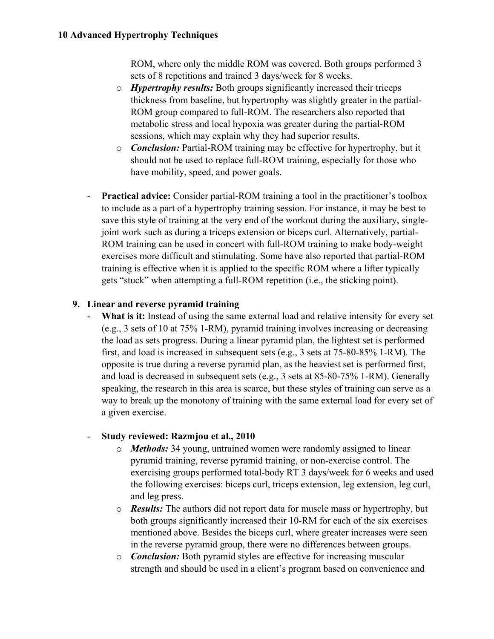ROM, where only the middle ROM was covered. Both groups performed 3 sets of 8 repetitions and trained 3 days/week for 8 weeks.

- o *Hypertrophy results:* Both groups significantly increased their triceps thickness from baseline, but hypertrophy was slightly greater in the partial-ROM group compared to full-ROM. The researchers also reported that metabolic stress and local hypoxia was greater during the partial-ROM sessions, which may explain why they had superior results.
- o *Conclusion:* Partial-ROM training may be effective for hypertrophy, but it should not be used to replace full-ROM training, especially for those who have mobility, speed, and power goals.
- **Practical advice:** Consider partial-ROM training a tool in the practitioner's toolbox to include as a part of a hypertrophy training session. For instance, it may be best to save this style of training at the very end of the workout during the auxiliary, singlejoint work such as during a triceps extension or biceps curl. Alternatively, partial-ROM training can be used in concert with full-ROM training to make body-weight exercises more difficult and stimulating. Some have also reported that partial-ROM training is effective when it is applied to the specific ROM where a lifter typically gets "stuck" when attempting a full-ROM repetition (i.e., the sticking point).

# **9. Linear and reverse pyramid training**

What is it: Instead of using the same external load and relative intensity for every set (e.g., 3 sets of 10 at 75% 1-RM), pyramid training involves increasing or decreasing the load as sets progress. During a linear pyramid plan, the lightest set is performed first, and load is increased in subsequent sets (e.g., 3 sets at 75-80-85% 1-RM). The opposite is true during a reverse pyramid plan, as the heaviest set is performed first, and load is decreased in subsequent sets (e.g., 3 sets at 85-80-75% 1-RM). Generally speaking, the research in this area is scarce, but these styles of training can serve as a way to break up the monotony of training with the same external load for every set of a given exercise.

# - **Study reviewed: Razmjou et al., 2010**

- o *Methods:* 34 young, untrained women were randomly assigned to linear pyramid training, reverse pyramid training, or non-exercise control. The exercising groups performed total-body RT 3 days/week for 6 weeks and used the following exercises: biceps curl, triceps extension, leg extension, leg curl, and leg press.
- o *Results:* The authors did not report data for muscle mass or hypertrophy, but both groups significantly increased their 10-RM for each of the six exercises mentioned above. Besides the biceps curl, where greater increases were seen in the reverse pyramid group, there were no differences between groups.
- o *Conclusion:* Both pyramid styles are effective for increasing muscular strength and should be used in a client's program based on convenience and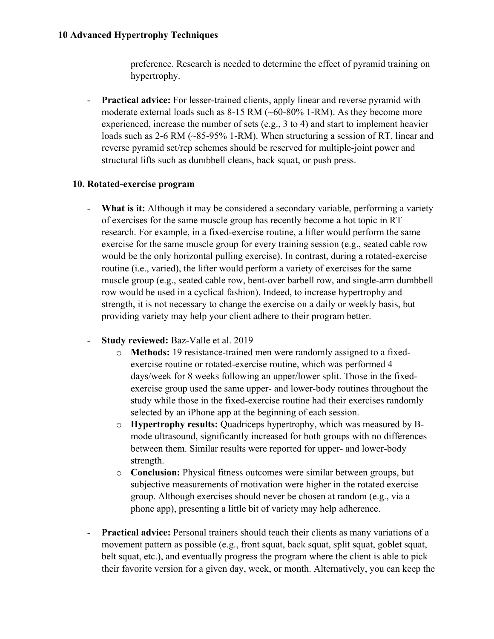preference. Research is needed to determine the effect of pyramid training on hypertrophy.

- **Practical advice:** For lesser-trained clients, apply linear and reverse pyramid with moderate external loads such as 8-15 RM (~60-80% 1-RM). As they become more experienced, increase the number of sets (e.g., 3 to 4) and start to implement heavier loads such as 2-6 RM (~85-95% 1-RM). When structuring a session of RT, linear and reverse pyramid set/rep schemes should be reserved for multiple-joint power and structural lifts such as dumbbell cleans, back squat, or push press.

## **10. Rotated-exercise program**

- **What is it:** Although it may be considered a secondary variable, performing a variety of exercises for the same muscle group has recently become a hot topic in RT research. For example, in a fixed-exercise routine, a lifter would perform the same exercise for the same muscle group for every training session (e.g., seated cable row would be the only horizontal pulling exercise). In contrast, during a rotated-exercise routine (i.e., varied), the lifter would perform a variety of exercises for the same muscle group (e.g., seated cable row, bent-over barbell row, and single-arm dumbbell row would be used in a cyclical fashion). Indeed, to increase hypertrophy and strength, it is not necessary to change the exercise on a daily or weekly basis, but providing variety may help your client adhere to their program better.
- **Study reviewed:** Baz-Valle et al. 2019
	- o **Methods:** 19 resistance-trained men were randomly assigned to a fixedexercise routine or rotated-exercise routine, which was performed 4 days/week for 8 weeks following an upper/lower split. Those in the fixedexercise group used the same upper- and lower-body routines throughout the study while those in the fixed-exercise routine had their exercises randomly selected by an iPhone app at the beginning of each session.
	- o **Hypertrophy results:** Quadriceps hypertrophy, which was measured by Bmode ultrasound, significantly increased for both groups with no differences between them. Similar results were reported for upper- and lower-body strength.
	- o **Conclusion:** Physical fitness outcomes were similar between groups, but subjective measurements of motivation were higher in the rotated exercise group. Although exercises should never be chosen at random (e.g., via a phone app), presenting a little bit of variety may help adherence.
- **Practical advice:** Personal trainers should teach their clients as many variations of a movement pattern as possible (e.g., front squat, back squat, split squat, goblet squat, belt squat, etc.), and eventually progress the program where the client is able to pick their favorite version for a given day, week, or month. Alternatively, you can keep the